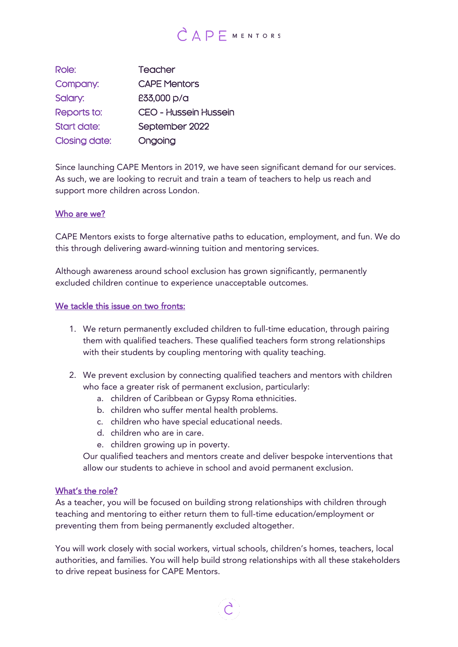# $C \triangle P$ F MENTORS

| Role:                | Teacher                      |
|----------------------|------------------------------|
| Company:             | <b>CAPE Mentors</b>          |
| Salary:              | £33,000 p/a                  |
| Reports to:          | <b>CEO - Hussein Hussein</b> |
| Start date:          | September 2022               |
| <b>Closing date:</b> | Ongoing                      |

Since launching CAPE Mentors in 2019, we have seen significant demand for our services. As such, we are looking to recruit and train a team of teachers to help us reach and support more children across London.

#### Who are we?

CAPE Mentors exists to forge alternative paths to education, employment, and fun. We do this through delivering award-winning tuition and mentoring services.

Although awareness around school exclusion has grown significantly, permanently excluded children continue to experience unacceptable outcomes.

#### We tackle this issue on two fronts:

- 1. We return permanently excluded children to full-time education, through pairing them with qualified teachers. These qualified teachers form strong relationships with their students by coupling mentoring with quality teaching.
- 2. We prevent exclusion by connecting qualified teachers and mentors with children who face a greater risk of permanent exclusion, particularly:
	- a. children of Caribbean or Gypsy Roma ethnicities.
	- b. children who suffer mental health problems.
	- c. children who have special educational needs.
	- d. children who are in care.
	- e. children growing up in poverty.

Our qualified teachers and mentors create and deliver bespoke interventions that allow our students to achieve in school and avoid permanent exclusion.

#### What's the role?

As a teacher, you will be focused on building strong relationships with children through teaching and mentoring to either return them to full-time education/employment or preventing them from being permanently excluded altogether.

You will work closely with social workers, virtual schools, children's homes, teachers, local authorities, and families. You will help build strong relationships with all these stakeholders to drive repeat business for CAPE Mentors.